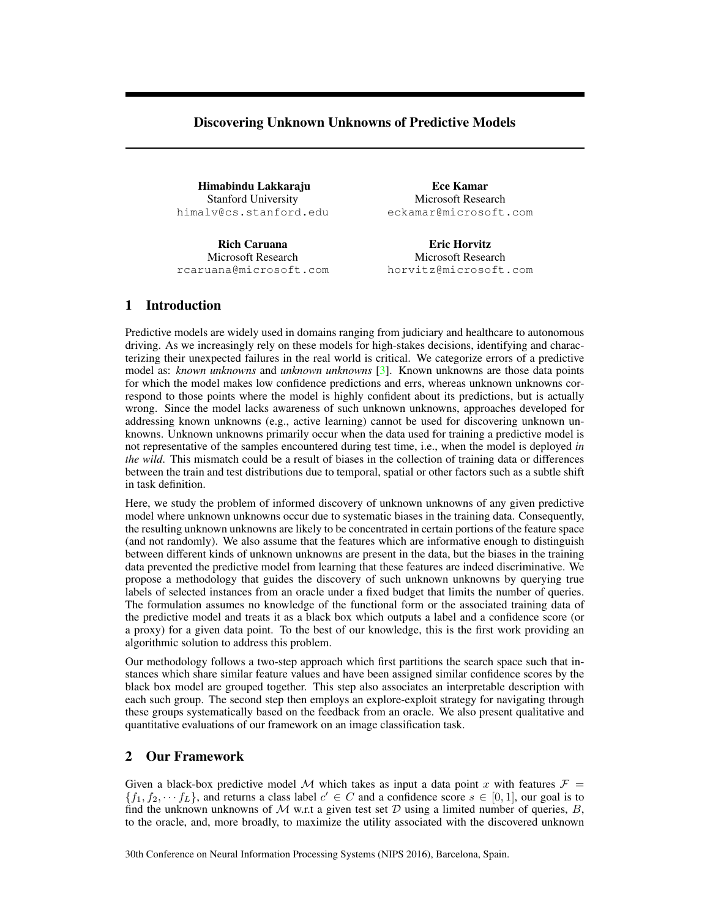# Discovering Unknown Unknowns of Predictive Models

Himabindu Lakkaraju Stanford University himalv@cs.stanford.edu

Rich Caruana Microsoft Research rcaruana@microsoft.com

Ece Kamar Microsoft Research eckamar@microsoft.com

Eric Horvitz Microsoft Research horvitz@microsoft.com

## 1 Introduction

Predictive models are widely used in domains ranging from judiciary and healthcare to autonomous driving. As we increasingly rely on these models for high-stakes decisions, identifying and characterizing their unexpected failures in the real world is critical. We categorize errors of a predictive model as: *known unknowns* and *unknown unknowns* [\[3\]](#page-4-0). Known unknowns are those data points for which the model makes low confidence predictions and errs, whereas unknown unknowns correspond to those points where the model is highly confident about its predictions, but is actually wrong. Since the model lacks awareness of such unknown unknowns, approaches developed for addressing known unknowns (e.g., active learning) cannot be used for discovering unknown unknowns. Unknown unknowns primarily occur when the data used for training a predictive model is not representative of the samples encountered during test time, i.e., when the model is deployed *in the wild*. This mismatch could be a result of biases in the collection of training data or differences between the train and test distributions due to temporal, spatial or other factors such as a subtle shift in task definition.

Here, we study the problem of informed discovery of unknown unknowns of any given predictive model where unknown unknowns occur due to systematic biases in the training data. Consequently, the resulting unknown unknowns are likely to be concentrated in certain portions of the feature space (and not randomly). We also assume that the features which are informative enough to distinguish between different kinds of unknown unknowns are present in the data, but the biases in the training data prevented the predictive model from learning that these features are indeed discriminative. We propose a methodology that guides the discovery of such unknown unknowns by querying true labels of selected instances from an oracle under a fixed budget that limits the number of queries. The formulation assumes no knowledge of the functional form or the associated training data of the predictive model and treats it as a black box which outputs a label and a confidence score (or a proxy) for a given data point. To the best of our knowledge, this is the first work providing an algorithmic solution to address this problem.

Our methodology follows a two-step approach which first partitions the search space such that instances which share similar feature values and have been assigned similar confidence scores by the black box model are grouped together. This step also associates an interpretable description with each such group. The second step then employs an explore-exploit strategy for navigating through these groups systematically based on the feedback from an oracle. We also present qualitative and quantitative evaluations of our framework on an image classification task.

#### 2 Our Framework

Given a black-box predictive model M which takes as input a data point x with features  $\mathcal{F} =$  $\{f_1, f_2, \dots, f_L\}$ , and returns a class label  $c' \in C$  and a confidence score  $s \in [0, 1]$ , our goal is to find the unknown unknowns of M w.r.t a given test set D using a limited number of queries,  $B$ , to the oracle, and, more broadly, to maximize the utility associated with the discovered unknown

30th Conference on Neural Information Processing Systems (NIPS 2016), Barcelona, Spain.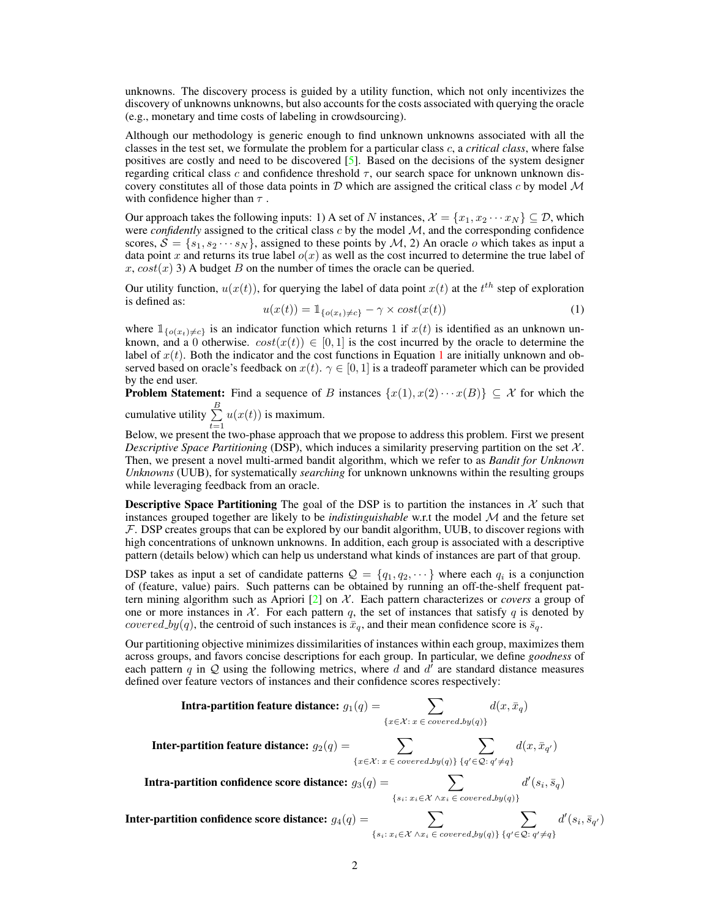unknowns. The discovery process is guided by a utility function, which not only incentivizes the discovery of unknowns unknowns, but also accounts for the costs associated with querying the oracle (e.g., monetary and time costs of labeling in crowdsourcing).

Although our methodology is generic enough to find unknown unknowns associated with all the classes in the test set, we formulate the problem for a particular class c, a *critical class*, where false positives are costly and need to be discovered [\[5\]](#page-4-1). Based on the decisions of the system designer regarding critical class c and confidence threshold  $\tau$ , our search space for unknown unknown discovery constitutes all of those data points in  $D$  which are assigned the critical class c by model  $M$ with confidence higher than  $\tau$ .

Our approach takes the following inputs: 1) A set of N instances,  $\mathcal{X} = \{x_1, x_2 \cdots x_N\} \subseteq \mathcal{D}$ , which were *confidently* assigned to the critical class c by the model  $M$ , and the corresponding confidence scores,  $\mathcal{S} = \{s_1, s_2 \cdots s_N\}$ , assigned to these points by  $\mathcal{M}$ , 2) An oracle o which takes as input a data point x and returns its true label  $o(x)$  as well as the cost incurred to determine the true label of  $x, \cos(x)$  3) A budget B on the number of times the oracle can be queried.

Our utility function,  $u(x(t))$ , for querying the label of data point  $x(t)$  at the  $t^{th}$  step of exploration is defined as:

<span id="page-1-0"></span>
$$
u(x(t)) = 1_{\{o(x_t) \neq c\}} - \gamma \times cost(x(t))
$$
\n(1)

where  $\mathbb{1}_{\{o(x_t)\neq c\}}$  is an indicator function which returns 1 if  $x(t)$  is identified as an unknown unknown, and a 0 otherwise.  $cost(x(t)) \in [0, 1]$  is the cost incurred by the oracle to determine the label of  $x(t)$ . Both the indicator and the cost functions in Equation [1](#page-1-0) are initially unknown and observed based on oracle's feedback on  $x(t)$ .  $\gamma \in [0, 1]$  is a tradeoff parameter which can be provided by the end user.

**Problem Statement:** Find a sequence of B instances  $\{x(1), x(2) \cdots x(B)\} \subseteq \mathcal{X}$  for which the cumulative utility  $\sum_{n=1}^{B}$ 

 $\sum_{t=1} u(x(t))$  is maximum.

Below, we present the two-phase approach that we propose to address this problem. First we present *Descriptive Space Partitioning* (DSP), which induces a similarity preserving partition on the set  $X$ . Then, we present a novel multi-armed bandit algorithm, which we refer to as *Bandit for Unknown Unknowns* (UUB), for systematically *searching* for unknown unknowns within the resulting groups while leveraging feedback from an oracle.

**Descriptive Space Partitioning** The goal of the DSP is to partition the instances in  $\mathcal{X}$  such that instances grouped together are likely to be *indistinguishable* w.r.t the model M and the feture set  $F$ . DSP creates groups that can be explored by our bandit algorithm, UUB, to discover regions with high concentrations of unknown unknowns. In addition, each group is associated with a descriptive pattern (details below) which can help us understand what kinds of instances are part of that group.

DSP takes as input a set of candidate patterns  $\mathcal{Q} = \{q_1, q_2, \dots\}$  where each  $q_i$  is a conjunction of (feature, value) pairs. Such patterns can be obtained by running an off-the-shelf frequent pattern mining algorithm such as Apriori  $[2]$  on  $\mathcal{X}$ . Each pattern characterizes or *covers* a group of one or more instances in  $X$ . For each pattern q, the set of instances that satisfy q is denoted by *covered by* $(q)$ , the centroid of such instances is  $\bar{x}_q$ , and their mean confidence score is  $\bar{s}_q$ .

Our partitioning objective minimizes dissimilarities of instances within each group, maximizes them across groups, and favors concise descriptions for each group. In particular, we define *goodness* of each pattern q in Q using the following metrics, where d and  $d^{\dagger}$  are standard distance measures defined over feature vectors of instances and their confidence scores respectively:

**Intra-partition feature distance:** 
$$
g_1(q) = \sum_{\{x \in \mathcal{X} : x \in covered_by(q)\}} d(x, \bar{x}_q)
$$

**Inter-partition feature distance:** 
$$
g_2(q) = \sum_{\{x \in \mathcal{X} : x \in covered_by(q)\}} \sum_{\{q' \in \mathcal{Q} : q' \neq q\}} d(x, \bar{x}_{q'})
$$

Intra-partition confidence score distance:  $g_3(q) = \sum$  ${s_i : x_i \in \mathcal{X} \land x_i \in covered_by(q)}$  $d'(s_i, \bar{s}_q)$ 

Inter-partition confidence score distance:  $g_4(q) = \sum$  $\{s_i : x_i \in \mathcal{X} \land x_i \in covered\_by(q)\}\$  $\sum$  ${q' \in \mathcal{Q}: q' \neq q}$  $d'(s_i, \bar{s}_{q'})$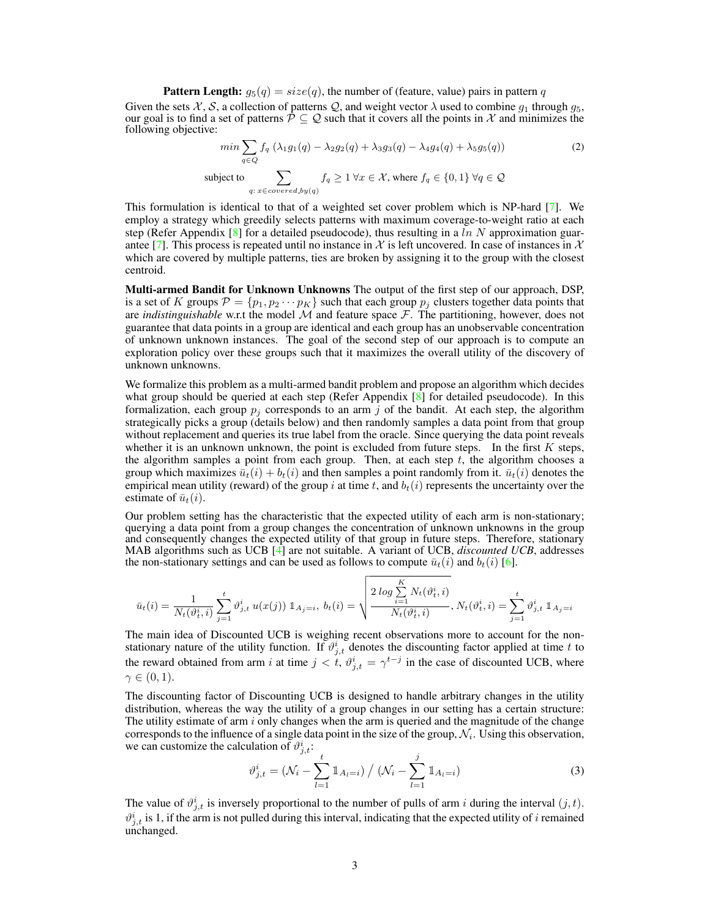**Pattern Length:**  $g_5(q) = size(q)$ , the number of (feature, value) pairs in pattern q

Given the sets X, S, a collection of patterns Q, and weight vector  $\lambda$  used to combine  $g_1$  through  $g_5$ , our goal is to find a set of patterns  $\mathcal{P} \subseteq \mathcal{Q}$  such that it covers all the points in X and minimizes the following objective:

<span id="page-2-0"></span>
$$
\min \sum_{q \in Q} f_q \left( \lambda_1 g_1(q) - \lambda_2 g_2(q) + \lambda_3 g_3(q) - \lambda_4 g_4(q) + \lambda_5 g_5(q) \right) \tag{2}
$$
\n
$$
\text{subject to} \sum_{q: x \in covered \, by (q)} f_q \ge 1 \, \forall x \in \mathcal{X}, \text{ where } f_q \in \{0, 1\} \, \forall q \in \mathcal{Q}
$$

This formulation is identical to that of a weighted set cover problem which is NP-hard [\[7\]](#page-4-3). We employ a strategy which greedily selects patterns with maximum coverage-to-weight ratio at each step (Refer Appendix [\[8\]](#page-4-4) for a detailed pseudocode), thus resulting in a ln N approximation guar-antee [\[7\]](#page-4-3). This process is repeated until no instance in X is left uncovered. In case of instances in X which are covered by multiple patterns, ties are broken by assigning it to the group with the closest centroid.

Multi-armed Bandit for Unknown Unknowns The output of the first step of our approach, DSP, is a set of K groups  $\mathcal{P} = \{p_1, p_2 \cdots p_K\}$  such that each group  $p_j$  clusters together data points that are *indistinguishable* w.r.t the model  $\mathcal M$  and feature space  $\mathcal F$ . The partitioning, however, does not guarantee that data points in a group are identical and each group has an unobservable concentration of unknown unknown instances. The goal of the second step of our approach is to compute an exploration policy over these groups such that it maximizes the overall utility of the discovery of unknown unknowns.

We formalize this problem as a multi-armed bandit problem and propose an algorithm which decides what group should be queried at each step (Refer Appendix  $\lceil 8 \rceil$  for detailed pseudocode). In this formalization, each group  $p_i$  corresponds to an arm j of the bandit. At each step, the algorithm strategically picks a group (details below) and then randomly samples a data point from that group without replacement and queries its true label from the oracle. Since querying the data point reveals whether it is an unknown unknown, the point is excluded from future steps. In the first  $K$  steps, the algorithm samples a point from each group. Then, at each step  $t$ , the algorithm chooses a group which maximizes  $\bar{u}_t(i) + b_t(i)$  and then samples a point randomly from it.  $\bar{u}_t(i)$  denotes the empirical mean utility (reward) of the group i at time t, and  $b_t(i)$  represents the uncertainty over the estimate of  $\bar{u}_t(i)$ .

Our problem setting has the characteristic that the expected utility of each arm is non-stationary; querying a data point from a group changes the concentration of unknown unknowns in the group and consequently changes the expected utility of that group in future steps. Therefore, stationary MAB algorithms such as UCB [\[4\]](#page-4-5) are not suitable. A variant of UCB, *discounted UCB*, addresses the non-stationary settings and can be used as follows to compute  $\bar{u}_t(i)$  and  $b_t(i)$  [\[6\]](#page-4-6).

$$
\bar{u}_t(i) = \frac{1}{N_t(\vartheta^i_t, i)} \sum_{j=1}^t \vartheta^i_{j, t} u(x(j)) \mathbbm{1}_{A_j = i}, \ b_t(i) = \sqrt{\frac{2 \log \sum_{i=1}^K N_t(\vartheta^i_t, i)}{N_t(\vartheta^i_t, i)}}, N_t(\vartheta^i_t, i) = \sum_{j=1}^t \vartheta^i_{j, t} \mathbbm{1}_{A_j = i}
$$

The main idea of Discounted UCB is weighing recent observations more to account for the nonstationary nature of the utility function. If  $\vartheta_{j,t}^i$  denotes the discounting factor applied at time t to the reward obtained from arm i at time  $j < t$ ,  $\vartheta_{j,t}^{i} = \gamma^{t-j}$  in the case of discounted UCB, where  $\gamma \in (0,1)$ .

The discounting factor of Discounting UCB is designed to handle arbitrary changes in the utility distribution, whereas the way the utility of a group changes in our setting has a certain structure: The utility estimate of arm  $i$  only changes when the arm is queried and the magnitude of the change corresponds to the influence of a single data point in the size of the group,  $\mathcal{N}_i$ . Using this observation, we can customize the calculation of  $\vartheta_{j,t}^i$ :

$$
\vartheta_{j,t}^{i} = (\mathcal{N}_{i} - \sum_{l=1}^{t} \mathbb{1}_{A_{l}=i}) / (\mathcal{N}_{i} - \sum_{l=1}^{j} \mathbb{1}_{A_{l}=i})
$$
\n(3)

The value of  $\vartheta_{j,t}^{i}$  is inversely proportional to the number of pulls of arm i during the interval  $(j, t)$ .  $\vartheta_{j,t}^i$  is 1, if the arm is not pulled during this interval, indicating that the expected utility of i remained unchanged.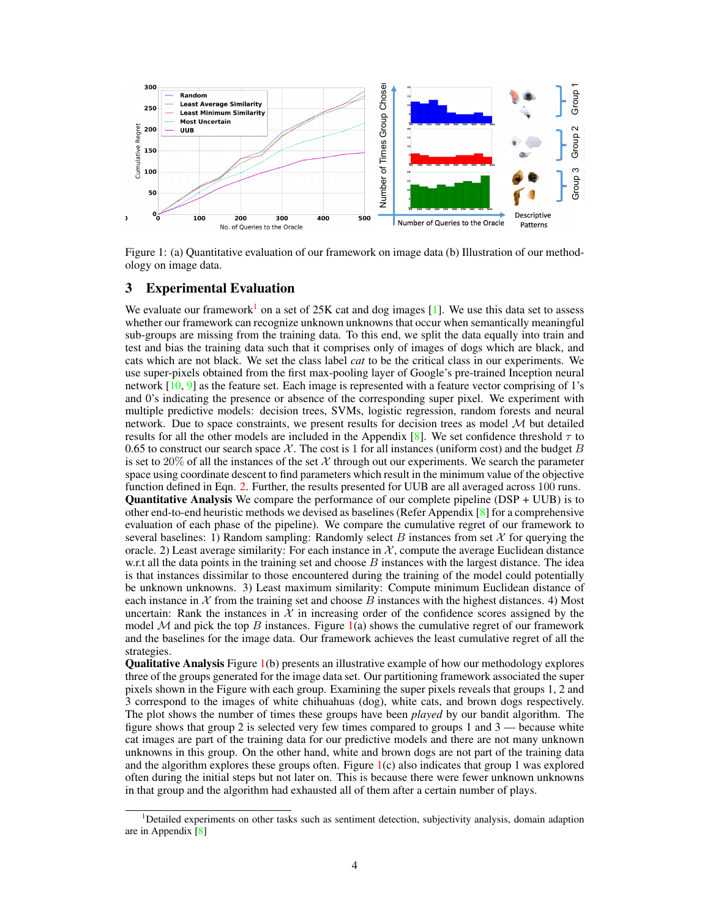

<span id="page-3-1"></span>Figure 1: (a) Quantitative evaluation of our framework on image data (b) Illustration of our methodology on image data.

#### 3 Experimental Evaluation

We evaluate our framework<sup>[1](#page-3-0)</sup> on a set of 25K cat and dog images  $[1]$ . We use this data set to assess whether our framework can recognize unknown unknowns that occur when semantically meaningful sub-groups are missing from the training data. To this end, we split the data equally into train and test and bias the training data such that it comprises only of images of dogs which are black, and cats which are not black. We set the class label *cat* to be the critical class in our experiments. We use super-pixels obtained from the first max-pooling layer of Google's pre-trained Inception neural network  $[10, 9]$  $[10, 9]$  $[10, 9]$  as the feature set. Each image is represented with a feature vector comprising of 1's and 0's indicating the presence or absence of the corresponding super pixel. We experiment with multiple predictive models: decision trees, SVMs, logistic regression, random forests and neural network. Due to space constraints, we present results for decision trees as model  $M$  but detailed results for all the other models are included in the Appendix [\[8\]](#page-4-4). We set confidence threshold  $\tau$  to 0.65 to construct our search space  $\mathcal X$ . The cost is 1 for all instances (uniform cost) and the budget  $B$ is set to 20% of all the instances of the set X through out our experiments. We search the parameter space using coordinate descent to find parameters which result in the minimum value of the objective function defined in Eqn. [2.](#page-2-0) Further, the results presented for UUB are all averaged across 100 runs. **Quantitative Analysis** We compare the performance of our complete pipeline ( $\text{DSP} + \text{UUB}$ ) is to other end-to-end heuristic methods we devised as baselines (Refer Appendix [\[8\]](#page-4-4) for a comprehensive evaluation of each phase of the pipeline). We compare the cumulative regret of our framework to several baselines: 1) Random sampling: Randomly select B instances from set  $X$  for querying the oracle. 2) Least average similarity: For each instance in  $\mathcal{X}$ , compute the average Euclidean distance w.r.t all the data points in the training set and choose  $B$  instances with the largest distance. The idea is that instances dissimilar to those encountered during the training of the model could potentially be unknown unknowns. 3) Least maximum similarity: Compute minimum Euclidean distance of each instance in  $X$  from the training set and choose B instances with the highest distances. 4) Most uncertain: Rank the instances in  $X$  in increasing order of the confidence scores assigned by the model M and pick the top B instances. Figure  $1(a)$  $1(a)$  shows the cumulative regret of our framework and the baselines for the image data. Our framework achieves the least cumulative regret of all the strategies.

Qualitative Analysis Figure [1\(](#page-3-1)b) presents an illustrative example of how our methodology explores three of the groups generated for the image data set. Our partitioning framework associated the super pixels shown in the Figure with each group. Examining the super pixels reveals that groups 1, 2 and 3 correspond to the images of white chihuahuas (dog), white cats, and brown dogs respectively. The plot shows the number of times these groups have been *played* by our bandit algorithm. The figure shows that group 2 is selected very few times compared to groups 1 and 3 — because white cat images are part of the training data for our predictive models and there are not many unknown unknowns in this group. On the other hand, white and brown dogs are not part of the training data and the algorithm explores these groups often. Figure  $1(c)$  $1(c)$  also indicates that group 1 was explored often during the initial steps but not later on. This is because there were fewer unknown unknowns in that group and the algorithm had exhausted all of them after a certain number of plays.

<span id="page-3-0"></span><sup>1</sup>Detailed experiments on other tasks such as sentiment detection, subjectivity analysis, domain adaption are in Appendix [\[8\]](#page-4-4)